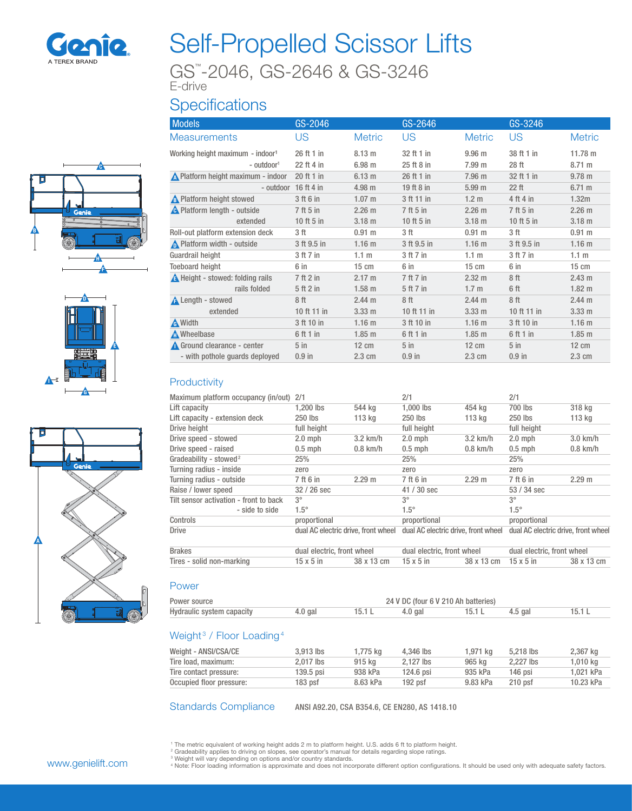

# Self-Propelled Scissor Lifts

GS™ -2046, GS-2646 & GS-3246

#### E-drive

## **Specifications**







| <b>Models</b>                                | GS-2046                |                   | GS-2646     |                   | GS-3246         |                   |
|----------------------------------------------|------------------------|-------------------|-------------|-------------------|-----------------|-------------------|
| <b>Measurements</b>                          | US                     | <b>Metric</b>     | <b>US</b>   | <b>Metric</b>     | US              | <b>Metric</b>     |
| Working height maximum - indoor <sup>1</sup> | 26 ft 1 in             | $8.13 \text{ m}$  | 32 ft 1 in  | 9.96 <sub>m</sub> | 38 ft 1 in      | 11.78 m           |
| - outdoor <sup>1</sup>                       | 22 ft 4 in             | 6.98 <sub>m</sub> | 25 ft 8 in  | 7.99 m            | 28 ft           | 8.71 m            |
| Nelatform height maximum - indoor            | 20 ft 1 in             | $6.13 \text{ m}$  | 26 ft 1 in  | 7.96 m            | 32 ft 1 in      | $9.78 \text{ m}$  |
|                                              | - outdoor $16$ ft 4 in | $4.98$ m          | 19 ft 8 in  | 5.99 <sub>m</sub> | $22$ ft         | 6.71 m            |
| <b>A</b> Platform height stowed              | 3 ft 6 in              | 1.07 m            | 3 ft 11 in  | 1.2 <sub>m</sub>  | 4 ft 4 in       | 1.32m             |
| <b>A</b> Platform length - outside           | 7 ft 5 in              | 2.26 m            | 7 ft 5 in   | 2.26 m            | 7 ft 5 in       | 2.26 m            |
| extended                                     | 10 ft 5 in             | 3.18 <sub>m</sub> | 10 ft 5 in  | 3.18 <sub>m</sub> | 10 ft 5 in      | 3.18 <sub>m</sub> |
| Roll-out platform extension deck             | 3 ft                   | 0.91 m            | 3 ft        | 0.91 m            | 3 ft            | 0.91 m            |
| Platform width - outside                     | 3 ft 9.5 in            | 1.16 <sub>m</sub> | 3 ft 9.5 in | 1.16 <sub>m</sub> | 3 ft 9.5 in     | 1.16 <sub>m</sub> |
| Guardrail height                             | 3 ft 7 in              | 1.1 <sub>m</sub>  | 3 ft 7 in   | $1.1 \text{ m}$   | 3 ft 7 in       | 1.1 <sub>m</sub>  |
| <b>Toeboard height</b>                       | 6 in                   | $15 \text{ cm}$   | 6 in        | $15 \text{ cm}$   | 6 in            | $15 \text{ cm}$   |
| <b>A</b> Height - stowed: folding rails      | 7 ft 2 in              | 2.17 m            | 7 ft 7 in   | $2.32 \text{ m}$  | 8ft             | 2.43 m            |
| rails folded                                 | 5 ft 2 in              | 1.58 <sub>m</sub> | 5 ft 7 in   | 1.7 <sub>m</sub>  | 6 ft            | $1.82 \text{ m}$  |
| <b>A</b> Length - stowed                     | 8 <sup>ft</sup>        | 2.44 m            | 8 ft        | 2.44 m            | 8ft             | 2.44 m            |
| extended                                     | 10 ft 11 in            | $3.33 \text{ m}$  | 10 ft 11 in | 3.33 <sub>m</sub> | 10 ft 11 in     | 3.33 <sub>m</sub> |
| A Width                                      | 3 ft 10 in             | 1.16 <sub>m</sub> | 3 ft 10 in  | 1.16 <sub>m</sub> | 3 ft 10 in      | 1.16 <sub>m</sub> |
| A Wheelbase                                  | 6 ft 1 in              | $1.85$ m          | 6 ft 1 in   | $1.85$ m          | 6 ft 1 in       | $1.85$ m          |
| Ground clearance - center                    | $5$ in                 | $12 \text{ cm}$   | $5$ in      | $12 \text{ cm}$   | 5 <sub>in</sub> | $12 \text{ cm}$   |
| - with pothole quards deployed               | $0.9$ in               | 2.3 cm            | $0.9$ in    | 2.3 cm            | $0.9$ in        | 2.3 cm            |

#### **Productivity**

| Maximum platform occupancy (in/out)    | 2/1                                 |            | 2/1                                 |            | 2/1                                 |            |
|----------------------------------------|-------------------------------------|------------|-------------------------------------|------------|-------------------------------------|------------|
| Lift capacity                          | 1,200 lbs                           | 544 kg     | 1,000 lbs                           | 454 kg     | 700 lbs                             | 318 kg     |
| Lift capacity - extension deck         | 250 lbs                             | 113 kg     | 250 lbs                             | 113 kg     | 250 lbs                             | 113 kg     |
| Drive height                           | full height                         |            | full height                         |            | full height                         |            |
| Drive speed - stowed                   | $2.0$ mph                           | $3.2$ km/h | $2.0$ mph                           | $3.2$ km/h | $2.0$ mph                           | $3.0$ km/h |
| Drive speed - raised                   | $0.5$ mph                           | $0.8$ km/h | $0.5$ mph                           | $0.8$ km/h | $0.5$ mph                           | $0.8$ km/h |
| Gradeability - stowed <sup>2</sup>     | 25%                                 |            | 25%                                 |            | 25%                                 |            |
| Turning radius - inside                | zero                                |            | zero                                |            | zero                                |            |
| Turning radius - outside               | 7 ft 6 in                           | 2.29 m     | 7 ft 6 in                           | 2.29 m     | 7 ft 6 in                           | 2.29 m     |
| Raise / lower speed                    | 32 / 26 sec                         |            | 41 / 30 sec                         |            | 53 / 34 sec                         |            |
| Tilt sensor activation - front to back | $3^{\circ}$                         |            | $3^{\circ}$                         |            | $3^{\circ}$                         |            |
| - side to side                         | $1.5^\circ$                         |            | $1.5^\circ$                         |            | $1.5^\circ$                         |            |
| Controls                               | proportional                        |            | proportional                        |            | proportional                        |            |
| <b>Drive</b>                           | dual AC electric drive, front wheel |            | dual AC electric drive, front wheel |            | dual AC electric drive, front wheel |            |
| <b>Brakes</b>                          | dual electric, front wheel          |            | dual electric, front wheel          |            | dual electric, front wheel          |            |
| Tires - solid non-marking              | $15 \times 5$ in                    | 38 x 13 cm | $15 \times 5$ in                    | 38 x 13 cm | $15 \times 5$ in                    | 38 x 13 cm |
|                                        |                                     |            |                                     |            |                                     |            |
| Power                                  |                                     |            |                                     |            |                                     |            |

#### Power source 24 V DC (four 6 V 210 Ah batteries) Hydraulic system capacity and the 4.0 gal 15.1 L 4.0 gal 15.1 L 4.5 gal 15.1 L

#### Weight<sup>3</sup> / Floor Loading<sup>4</sup>

| Weight - ANSI/CSA/CE     | 3.913 lbs   | 1.775 ka | 4.346 lbs   | 1.971 ka | 5.218 lbs | 2,367 kg  |
|--------------------------|-------------|----------|-------------|----------|-----------|-----------|
| Tire load, maximum:      | 2.017 lbs   | 915 ka   | 2.127 lbs   | 965 kg   | 2.227 lbs | 1.010 ka  |
| Tire contact pressure:   | $139.5$ psi | 938 kPa  | $124.6$ psi | 935 kPa  | $146$ psi | 1.021 kPa |
| Occupied floor pressure: | $183$ psf   | 8.63 kPa | 192 psf     | 9.83 kPa | $210$ psf | 10.23 kPa |

Standards Compliance ANSI A92.20, CSA B354.6, CE EN280, AS 1418.10

<sup>1</sup> The metric equivalent of working height adds 2 m to platform height. U.S. adds 6 ft to platform height.<br><sup>2</sup> Gradeability applies to driving on slopes, see operator's manual for details regarding slope ratings.

www.genielift.com

<sup>s</sup> Weight will vary depending on options and/or country standards.<br><sup>4</sup> Note: Floor loading information is approximate and does not incorporate different option configurations. It should be used only with adequate safety f